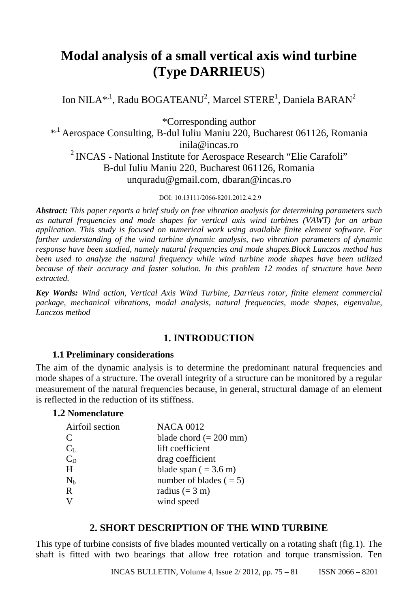# **Modal analysis of a small vertical axis wind turbine (Type DARRIEUS**)

Ion NILA\*,<sup>1</sup>, Radu BOGATEANU<sup>2</sup>, Marcel STERE<sup>1</sup>, Daniela BARAN<sup>2</sup>

\*Corresponding author \*,1 Aerospace Consulting, B-dul Iuliu Maniu 220, Bucharest 061126, Romania inila@incas.ro <sup>2</sup> INCAS - National Institute for Aerospace Research "Elie Carafoli" B-dul Iuliu Maniu 220, Bucharest 061126, Romania unquradu@gmail.com, dbaran@incas.ro

DOI: 10.13111/2066-8201.2012.4.2.9

*Abstract: This paper reports a brief study on free vibration analysis for determining parameters such as natural frequencies and mode shapes for vertical axis wind turbines (VAWT) for an urban application. This study is focused on numerical work using available finite element software. For further understanding of the wind turbine dynamic analysis, two vibration parameters of dynamic response have been studied, namely natural frequencies and mode shapes.Block Lanczos method has been used to analyze the natural frequency while wind turbine mode shapes have been utilized because of their accuracy and faster solution. In this problem 12 modes of structure have been extracted.* 

*Key Words: Wind action, Vertical Axis Wind Turbine, Darrieus rotor, finite element commercial package, mechanical vibrations, modal analysis, natural frequencies, mode shapes, eigenvalue, Lanczos method*

## **1. INTRODUCTION**

## **1.1 Preliminary considerations**

The aim of the dynamic analysis is to determine the predominant natural frequencies and mode shapes of a structure. The overall integrity of a structure can be monitored by a regular measurement of the natural frequencies because, in general, structural damage of an element is reflected in the reduction of its stiffness.

## **1.2 Nomenclature**

| Airfoil section             | <b>NACA 0012</b>                |
|-----------------------------|---------------------------------|
| $\mathcal{C}_{\mathcal{C}}$ | blade chord $(= 200$ mm)        |
| $C_{L}$                     | lift coefficient                |
| $C_D$                       | drag coefficient                |
| H                           | blade span $( = 3.6 \text{ m})$ |
| $\rm N_h$                   | number of blades $( = 5)$       |
| R                           | radius $(= 3 \text{ m})$        |
| V                           | wind speed                      |

# **2. SHORT DESCRIPTION OF THE WIND TURBINE**

This type of turbine consists of five blades mounted vertically on a rotating shaft (fig.1). The shaft is fitted with two bearings that allow free rotation and torque transmission. Ten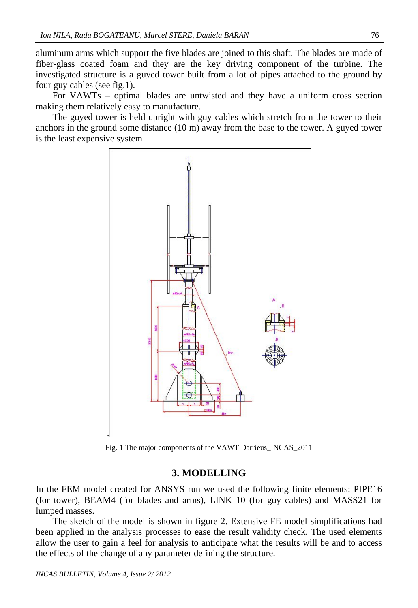aluminum arms which support the five blades are joined to this shaft. The blades are made of fiber-glass coated foam and they are the key driving component of the turbine. The investigated structure is a guyed tower built from a lot of pipes attached to the ground by four guy cables (see fig.1).

For VAWTs – optimal blades are untwisted and they have a uniform cross section making them relatively easy to manufacture.

The guyed tower is held upright with guy cables which stretch from the tower to their anchors in the ground some distance (10 m) away from the base to the tower. A guyed tower is the least expensive system



Fig. 1 The major components of the VAWT Darrieus\_INCAS\_2011

## **3. MODELLING**

In the FEM model created for ANSYS run we used the following finite elements: PIPE16 (for tower), BEAM4 (for blades and arms), LINK 10 (for guy cables) and MASS21 for lumped masses.

The sketch of the model is shown in figure 2. Extensive FE model simplifications had been applied in the analysis processes to ease the result validity check. The used elements allow the user to gain a feel for analysis to anticipate what the results will be and to access the effects of the change of any parameter defining the structure.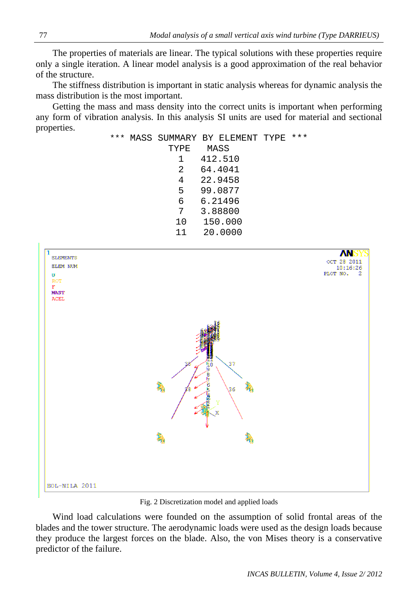The properties of materials are linear. The typical solutions with these properties require only a single iteration. A linear model analysis is a good approximation of the real behavior of the structure.

The stiffness distribution is important in static analysis whereas for dynamic analysis the mass distribution is the most important.

Getting the mass and mass density into the correct units is important when performing any form of vibration analysis. In this analysis SI units are used for material and sectional properties.



Fig. 2 Discretization model and applied loads

Wind load calculations were founded on the assumption of solid frontal areas of the blades and the tower structure. The aerodynamic loads were used as the design loads because they produce the largest forces on the blade. Also, the von Mises theory is a conservative predictor of the failure.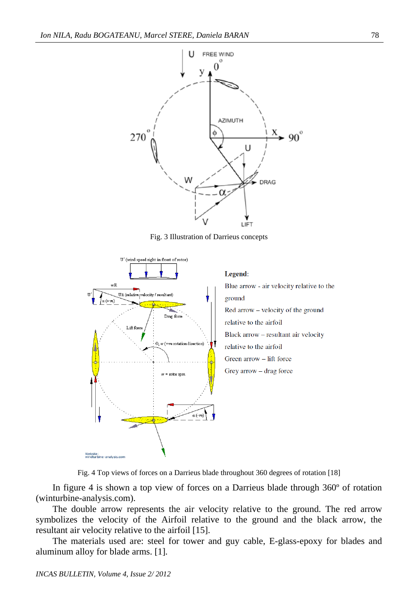

Fig. 3 Illustration of Darrieus concepts



Fig. 4 Top views of forces on a Darrieus blade throughout 360 degrees of rotation [18]

In figure 4 is shown a top view of forces on a Darrieus blade through 360º of rotation (winturbine-analysis.com).

The double arrow represents the air velocity relative to the ground. The red arrow symbolizes the velocity of the Airfoil relative to the ground and the black arrow, the resultant air velocity relative to the airfoil [15].

The materials used are: steel for tower and guy cable, E-glass-epoxy for blades and aluminum alloy for blade arms. [1].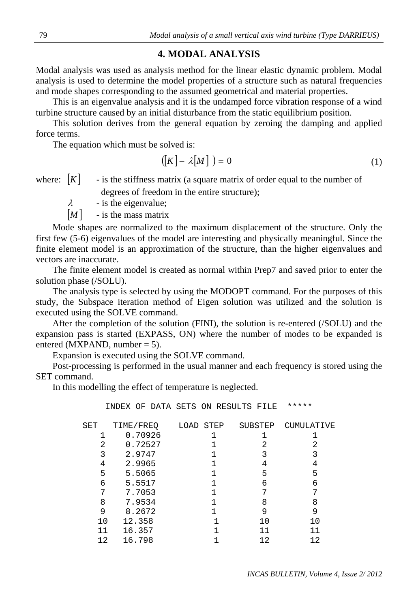### **4. MODAL ANALYSIS**

Modal analysis was used as analysis method for the linear elastic dynamic problem. Modal analysis is used to determine the model properties of a structure such as natural frequencies and mode shapes corresponding to the assumed geometrical and material properties.

This is an eigenvalue analysis and it is the undamped force vibration response of a wind turbine structure caused by an initial disturbance from the static equilibrium position.

This solution derives from the general equation by zeroing the damping and applied force terms.

The equation which must be solved is:

$$
([K] - \lambda [M]) = 0 \tag{1}
$$

where:  $[K]$  - is the stiffness matrix (a square matrix of order equal to the number of degrees of freedom in the entire structure);

 $\lambda$  - is the eigenvalue;

 $[M]$  - is the mass matrix

Mode shapes are normalized to the maximum displacement of the structure. Only the first few (5-6) eigenvalues of the model are interesting and physically meaningful. Since the finite element model is an approximation of the structure, than the higher eigenvalues and vectors are inaccurate.

The finite element model is created as normal within Prep7 and saved prior to enter the solution phase (/SOLU).

The analysis type is selected by using the MODOPT command. For the purposes of this study, the Subspace iteration method of Eigen solution was utilized and the solution is executed using the SOLVE command.

After the completion of the solution (FINI), the solution is re-entered (/SOLU) and the expansion pass is started (EXPASS, ON) where the number of modes to be expanded is entered (MXPAND, number  $= 5$ ).

Expansion is executed using the SOLVE command.

Post-processing is performed in the usual manner and each frequency is stored using the SET command.

In this modelling the effect of temperature is neglected.

INDEX OF DATA SETS ON RESULTS FILE \*\*\*\*\*

| SET | TIME/FREQ | LOAD STEP | SUBSTEP | CUMULATIVE |
|-----|-----------|-----------|---------|------------|
|     | 0.70926   |           |         |            |
| 2   | 0.72527   |           | 2       | 2          |
| 3   | 2.9747    |           | 3       | 3          |
| 4   | 2.9965    |           | 4       | 4          |
| 5   | 5.5065    |           | 5       | 5          |
| 6   | 5.5517    |           | 6       | 6          |
| 7   | 7.7053    |           |         |            |
| 8   | 7.9534    |           | 8       | 8          |
| 9   | 8.2672    |           | 9       | 9          |
| 10  | 12.358    |           | 10      | 10         |
| 11  | 16.357    |           | 11      | 11         |
| 12  | 16.798    |           | 12      | 12         |
|     |           |           |         |            |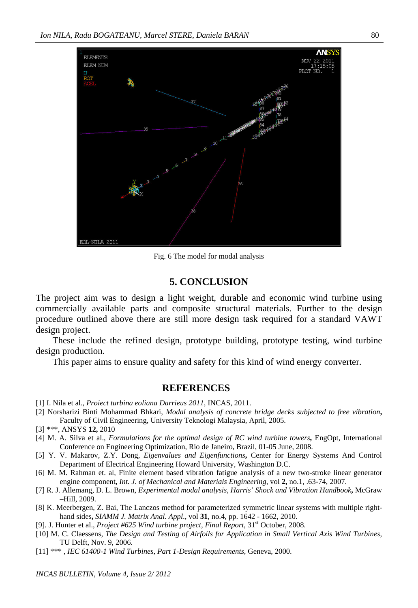

Fig. 6 The model for modal analysis

## **5. CONCLUSION**

The project aim was to design a light weight, durable and economic wind turbine using commercially available parts and composite structural materials. Further to the design procedure outlined above there are still more design task required for a standard VAWT design project.

These include the refined design, prototype building, prototype testing, wind turbine design production.

This paper aims to ensure quality and safety for this kind of wind energy converter.

#### **REFERENCES**

- [1] I. Nila et al., *Proiect turbina eoliana Darrieus 2011*, INCAS, 2011.
- [2] Norsharizi Binti Mohammad Bhkari, *Modal analysis of concrete bridge decks subjected to free vibration***,** Faculty of Civil Engineering, University Teknologi Malaysia, April, 2005.
- [3] \*\*\*, ANSYS **12,** 2010
- [4] M. A. Silva et al., *Formulations for the optimal design of RC wind turbine towers***,** EngOpt, International Conference on Engineering Optimization, Rio de Janeiro, Brazil, 01-05 June, 2008.
- [5] Y. V. Makarov, Z.Y. Dong, *Eigenvalues and Eigenfunctions***,** Center for Energy Systems And Control Department of Electrical Engineering Howard University, Washington D.C.
- [6] M. M. Rahman et. al, Finite element based vibration fatigue analysis of a new two-stroke linear generator engine component**,** *Int. J. of Mechanical and Materials Engineering*, vol **2,** no.1, .63-74, 2007.
- [7] R. J. Allemang, D. L. Brown, *Experimental modal analysis, Harris' Shock and Vibration Handbook***,** McGraw –Hill, 2009.
- [8] K. Meerbergen, Z. Bai, The Lanczos method for parameterized symmetric linear systems with multiple righthand sides**,** *SIAMM J. Matrix Anal. Appl*., vol **31**, no.4, pp. 1642 - 1662, 2010.
- [9]. J. Hunter et al., *Project #625 Wind turbine project, Final Report*, 31st October, 2008.
- [10] M. C. Claessens*, The Design and Testing of Airfoils for Application in Small Vertical Axis Wind Turbines*, TU Delft, Nov. 9, 2006.
- [11] \*\*\* , *IEC 61400-1 Wind Turbines, Part 1-Design Requirements*, Geneva, 2000.